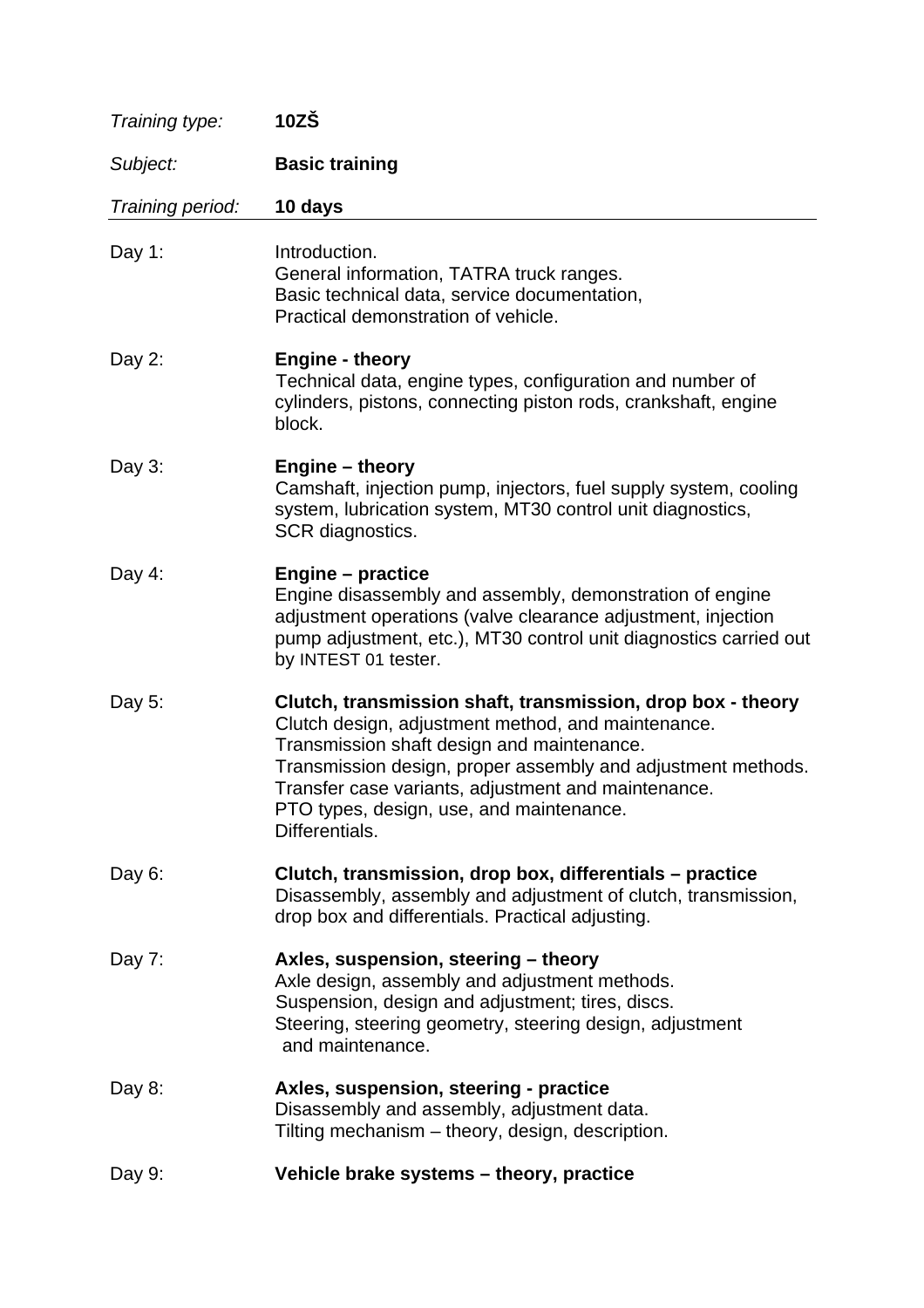| Training type:   | $10Z\overset{<}{S}$                                                                                                                                                                                                                                                                                                                                  |
|------------------|------------------------------------------------------------------------------------------------------------------------------------------------------------------------------------------------------------------------------------------------------------------------------------------------------------------------------------------------------|
| Subject:         | <b>Basic training</b>                                                                                                                                                                                                                                                                                                                                |
| Training period: | 10 days                                                                                                                                                                                                                                                                                                                                              |
| Day 1:           | Introduction.<br>General information, TATRA truck ranges.<br>Basic technical data, service documentation,<br>Practical demonstration of vehicle.                                                                                                                                                                                                     |
| Day 2:           | <b>Engine - theory</b><br>Technical data, engine types, configuration and number of<br>cylinders, pistons, connecting piston rods, crankshaft, engine<br>block.                                                                                                                                                                                      |
| Day $3$ :        | Engine – theory<br>Camshaft, injection pump, injectors, fuel supply system, cooling<br>system, lubrication system, MT30 control unit diagnostics,<br>SCR diagnostics.                                                                                                                                                                                |
| Day $4$ :        | <b>Engine – practice</b><br>Engine disassembly and assembly, demonstration of engine<br>adjustment operations (valve clearance adjustment, injection<br>pump adjustment, etc.), MT30 control unit diagnostics carried out<br>by INTEST 01 tester.                                                                                                    |
| Day 5:           | Clutch, transmission shaft, transmission, drop box - theory<br>Clutch design, adjustment method, and maintenance.<br>Transmission shaft design and maintenance.<br>Transmission design, proper assembly and adjustment methods.<br>Transfer case variants, adjustment and maintenance.<br>PTO types, design, use, and maintenance.<br>Differentials. |
| Day $6:$         | Clutch, transmission, drop box, differentials – practice<br>Disassembly, assembly and adjustment of clutch, transmission,<br>drop box and differentials. Practical adjusting.                                                                                                                                                                        |
| Day 7:           | Axles, suspension, steering - theory<br>Axle design, assembly and adjustment methods.<br>Suspension, design and adjustment; tires, discs.<br>Steering, steering geometry, steering design, adjustment<br>and maintenance.                                                                                                                            |
| Day 8:           | Axles, suspension, steering - practice<br>Disassembly and assembly, adjustment data.<br>Tilting mechanism - theory, design, description.                                                                                                                                                                                                             |
| Day 9:           | Vehicle brake systems - theory, practice                                                                                                                                                                                                                                                                                                             |